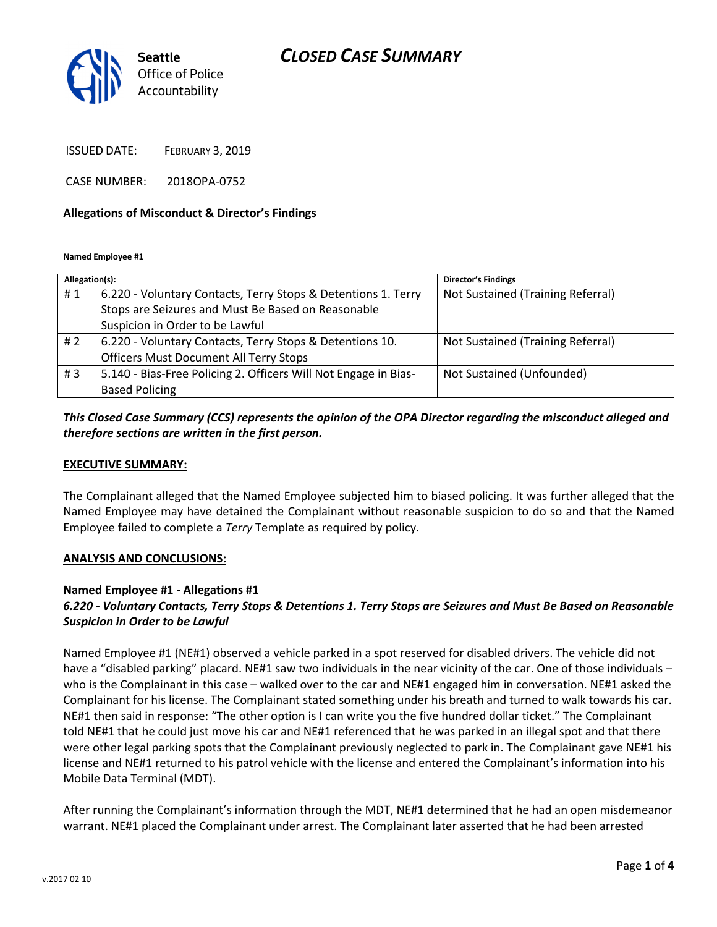## CLOSED CASE SUMMARY



ISSUED DATE: FEBRUARY 3, 2019

CASE NUMBER: 2018OPA-0752

#### Allegations of Misconduct & Director's Findings

Named Employee #1

| Allegation(s): |                                                                 | <b>Director's Findings</b>        |
|----------------|-----------------------------------------------------------------|-----------------------------------|
| #1             | 6.220 - Voluntary Contacts, Terry Stops & Detentions 1. Terry   | Not Sustained (Training Referral) |
|                | Stops are Seizures and Must Be Based on Reasonable              |                                   |
|                | Suspicion in Order to be Lawful                                 |                                   |
| # 2            | 6.220 - Voluntary Contacts, Terry Stops & Detentions 10.        | Not Sustained (Training Referral) |
|                | <b>Officers Must Document All Terry Stops</b>                   |                                   |
| #3             | 5.140 - Bias-Free Policing 2. Officers Will Not Engage in Bias- | Not Sustained (Unfounded)         |
|                | <b>Based Policing</b>                                           |                                   |

### This Closed Case Summary (CCS) represents the opinion of the OPA Director regarding the misconduct alleged and therefore sections are written in the first person.

#### EXECUTIVE SUMMARY:

The Complainant alleged that the Named Employee subjected him to biased policing. It was further alleged that the Named Employee may have detained the Complainant without reasonable suspicion to do so and that the Named Employee failed to complete a Terry Template as required by policy.

#### ANALYSIS AND CONCLUSIONS:

### Named Employee #1 - Allegations #1

### 6.220 - Voluntary Contacts, Terry Stops & Detentions 1. Terry Stops are Seizures and Must Be Based on Reasonable Suspicion in Order to be Lawful

Named Employee #1 (NE#1) observed a vehicle parked in a spot reserved for disabled drivers. The vehicle did not have a "disabled parking" placard. NE#1 saw two individuals in the near vicinity of the car. One of those individuals who is the Complainant in this case – walked over to the car and NE#1 engaged him in conversation. NE#1 asked the Complainant for his license. The Complainant stated something under his breath and turned to walk towards his car. NE#1 then said in response: "The other option is I can write you the five hundred dollar ticket." The Complainant told NE#1 that he could just move his car and NE#1 referenced that he was parked in an illegal spot and that there were other legal parking spots that the Complainant previously neglected to park in. The Complainant gave NE#1 his license and NE#1 returned to his patrol vehicle with the license and entered the Complainant's information into his Mobile Data Terminal (MDT).

After running the Complainant's information through the MDT, NE#1 determined that he had an open misdemeanor warrant. NE#1 placed the Complainant under arrest. The Complainant later asserted that he had been arrested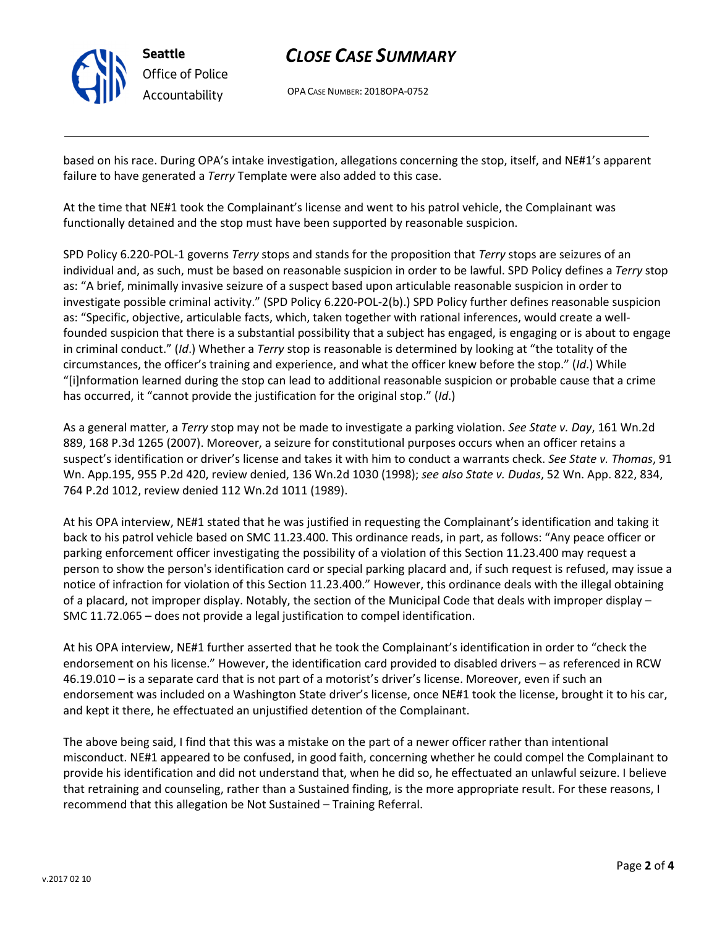

# CLOSE CASE SUMMARY

OPA CASE NUMBER: 2018OPA-0752

based on his race. During OPA's intake investigation, allegations concerning the stop, itself, and NE#1's apparent failure to have generated a Terry Template were also added to this case.

At the time that NE#1 took the Complainant's license and went to his patrol vehicle, the Complainant was functionally detained and the stop must have been supported by reasonable suspicion.

SPD Policy 6.220-POL-1 governs Terry stops and stands for the proposition that Terry stops are seizures of an individual and, as such, must be based on reasonable suspicion in order to be lawful. SPD Policy defines a Terry stop as: "A brief, minimally invasive seizure of a suspect based upon articulable reasonable suspicion in order to investigate possible criminal activity." (SPD Policy 6.220-POL-2(b).) SPD Policy further defines reasonable suspicion as: "Specific, objective, articulable facts, which, taken together with rational inferences, would create a wellfounded suspicion that there is a substantial possibility that a subject has engaged, is engaging or is about to engage in criminal conduct." (Id.) Whether a Terry stop is reasonable is determined by looking at "the totality of the circumstances, the officer's training and experience, and what the officer knew before the stop." (Id.) While "[i]nformation learned during the stop can lead to additional reasonable suspicion or probable cause that a crime has occurred, it "cannot provide the justification for the original stop." (Id.)

As a general matter, a Terry stop may not be made to investigate a parking violation. See State v. Day, 161 Wn.2d 889, 168 P.3d 1265 (2007). Moreover, a seizure for constitutional purposes occurs when an officer retains a suspect's identification or driver's license and takes it with him to conduct a warrants check. See State v. Thomas, 91 Wn. App.195, 955 P.2d 420, review denied, 136 Wn.2d 1030 (1998); see also State v. Dudas, 52 Wn. App. 822, 834, 764 P.2d 1012, review denied 112 Wn.2d 1011 (1989).

At his OPA interview, NE#1 stated that he was justified in requesting the Complainant's identification and taking it back to his patrol vehicle based on SMC 11.23.400. This ordinance reads, in part, as follows: "Any peace officer or parking enforcement officer investigating the possibility of a violation of this Section 11.23.400 may request a person to show the person's identification card or special parking placard and, if such request is refused, may issue a notice of infraction for violation of this Section 11.23.400." However, this ordinance deals with the illegal obtaining of a placard, not improper display. Notably, the section of the Municipal Code that deals with improper display – SMC 11.72.065 – does not provide a legal justification to compel identification.

At his OPA interview, NE#1 further asserted that he took the Complainant's identification in order to "check the endorsement on his license." However, the identification card provided to disabled drivers – as referenced in RCW 46.19.010 – is a separate card that is not part of a motorist's driver's license. Moreover, even if such an endorsement was included on a Washington State driver's license, once NE#1 took the license, brought it to his car, and kept it there, he effectuated an unjustified detention of the Complainant.

The above being said, I find that this was a mistake on the part of a newer officer rather than intentional misconduct. NE#1 appeared to be confused, in good faith, concerning whether he could compel the Complainant to provide his identification and did not understand that, when he did so, he effectuated an unlawful seizure. I believe that retraining and counseling, rather than a Sustained finding, is the more appropriate result. For these reasons, I recommend that this allegation be Not Sustained – Training Referral.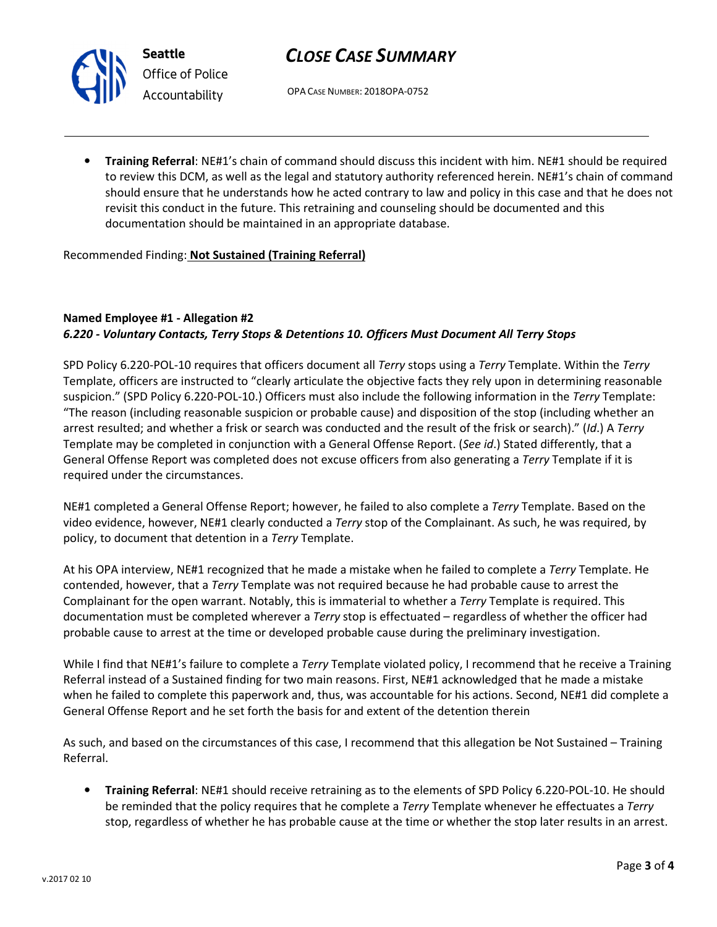

Seattle Office of Police Accountability

# CLOSE CASE SUMMARY

OPA CASE NUMBER: 2018OPA-0752

• Training Referral: NE#1's chain of command should discuss this incident with him. NE#1 should be required to review this DCM, as well as the legal and statutory authority referenced herein. NE#1's chain of command should ensure that he understands how he acted contrary to law and policy in this case and that he does not revisit this conduct in the future. This retraining and counseling should be documented and this documentation should be maintained in an appropriate database.

Recommended Finding: Not Sustained (Training Referral)

## Named Employee #1 - Allegation #2 6.220 - Voluntary Contacts, Terry Stops & Detentions 10. Officers Must Document All Terry Stops

SPD Policy 6.220-POL-10 requires that officers document all Terry stops using a Terry Template. Within the Terry Template, officers are instructed to "clearly articulate the objective facts they rely upon in determining reasonable suspicion." (SPD Policy 6.220-POL-10.) Officers must also include the following information in the Terry Template: "The reason (including reasonable suspicion or probable cause) and disposition of the stop (including whether an arrest resulted; and whether a frisk or search was conducted and the result of the frisk or search)." (Id.) A Terry Template may be completed in conjunction with a General Offense Report. (See id.) Stated differently, that a General Offense Report was completed does not excuse officers from also generating a Terry Template if it is required under the circumstances.

NE#1 completed a General Offense Report; however, he failed to also complete a Terry Template. Based on the video evidence, however, NE#1 clearly conducted a Terry stop of the Complainant. As such, he was required, by policy, to document that detention in a Terry Template.

At his OPA interview, NE#1 recognized that he made a mistake when he failed to complete a Terry Template. He contended, however, that a Terry Template was not required because he had probable cause to arrest the Complainant for the open warrant. Notably, this is immaterial to whether a Terry Template is required. This documentation must be completed wherever a Terry stop is effectuated – regardless of whether the officer had probable cause to arrest at the time or developed probable cause during the preliminary investigation.

While I find that NE#1's failure to complete a Terry Template violated policy, I recommend that he receive a Training Referral instead of a Sustained finding for two main reasons. First, NE#1 acknowledged that he made a mistake when he failed to complete this paperwork and, thus, was accountable for his actions. Second, NE#1 did complete a General Offense Report and he set forth the basis for and extent of the detention therein

As such, and based on the circumstances of this case, I recommend that this allegation be Not Sustained – Training Referral.

• Training Referral: NE#1 should receive retraining as to the elements of SPD Policy 6.220-POL-10. He should be reminded that the policy requires that he complete a *Terry* Template whenever he effectuates a *Terry* stop, regardless of whether he has probable cause at the time or whether the stop later results in an arrest.